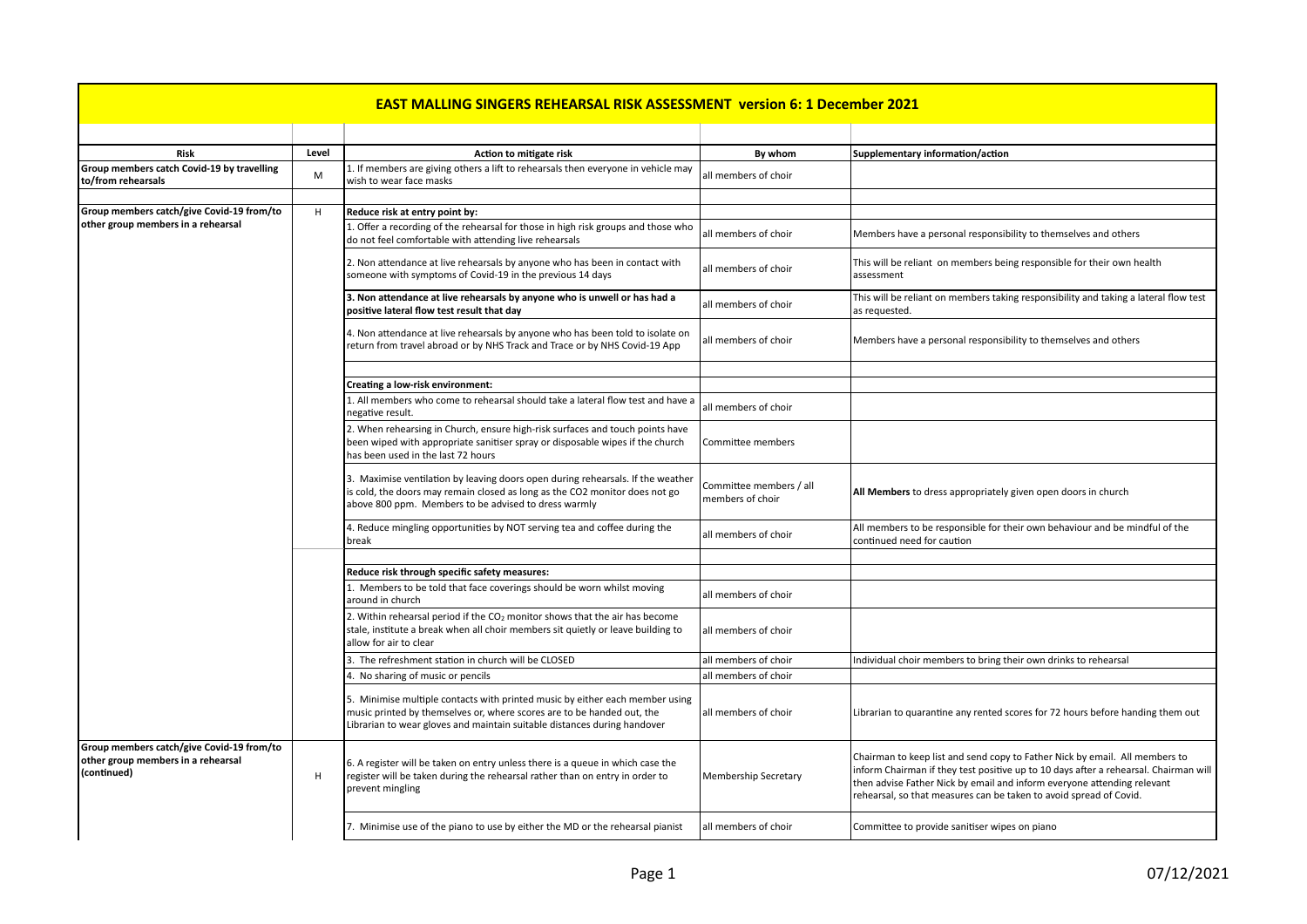## **EAST MALLING SINGERS REHEARSAL RISK ASSESSMENT version 6: 1 December 2021 Risk** By whom **Risk Level Level Level By Level By Level By Risk By whom Supplementary in the Supplementary of the Supplementary in the Supplementary in the Supplementary in the Supplementary in the Supplem Group members catch Covid-19 by travelling Group members catch Covid-19 by travelling**  $\begin{bmatrix} 1. & \text{If members are giving others a lift to rehearsals then everyone in vehicle may wish to wear face masks \end{bmatrix}$ 1. If therefore are giving others a lift to reflect sais their everyone in venicle may all members of choir wish to wear face masks **Group members catch/give Covid-19 from/to** other group members in a rehearsal H **Reduce risk at entry point by:** 1. Offer a recording of the rehearsal for those in high risk groups and those who 1. Oner a recording of the renearsal for those in high risk groups and those who<br>do not feel comfortable with attending live rehearsals and those wind all members of choir Members have a personal responsibility to themselv 2. Non attendance at live rehearsals by anyone who has been in contact with all members of choir This will be reliant on members being responsible for their own health someone with symptoms of Covid-19 in the previous 14 d **3.** Non attendance at live rehearsals by anyone who is unwell or has had a **at Non attendance at live rehearsals by anyone who is unwell or has had a** and a a all members of choir **This** will be reliant on members taking responsibility and taking a lateral flow test **positive lateral flow** test r 4. Non attendance at live rehearsals by anyone who has been told to isolate on F. Non attenuance at live renearsals by anyone who has been told to isolate on all members of choir Members have a personal responsibility to themselves and others return from travel abroad or by NHS Track and Trace or by **Creating a low-risk environment:** 1. All members who come to rehearsal should take a lateral flow test and have a all members of choir negative result. 2. When rehearsing in Church, ensure high-risk surfaces and touch points have  $\frac{1}{2}$  been wiped with appropriate sanitiser spray or disposable wipes if the church has been used in the last 72 hours Committee members [3. Maximise ventilation by leaving doors open during rehearsals. If the weather is cold, the doors may remain closed as long as the CO2 monitor does not go above 800 ppm. Members to be advised to dress warmly Committee members / all  $\vert$ 4. Reduce mingling opportunities by NOT serving tea and coffee during the 4. Reduce mingling opportunities by NOT serving tea and coffee during the all members of choir  $\begin{bmatrix} 1 & 0 \\ 0 & 1 \end{bmatrix}$  all members of choir caution **Reduce risk through specific safety measures:** 1. Members to be told that face coverings should be worn whilst moving all members of choir around in church 2. Within rehearsal period if the  $CO<sub>2</sub>$  monitor shows that the air has become stale, institute a break when all choir members sit quietly or leave building to allow for air to clear all members of choir 3. The refreshment station in church will be CLOSED and all members of choir and individual choir members to bring their own drinks to rehearsal  $\vert$ 4. No sharing of music or pencils all members of choir 5. Minimise multiple contacts with printed music by either each member using music printed by themselves or, where scores are to be handed out, the Librarian to wear gloves and maintain suitable distances during handover **Group members catch/give Covid-19 from/to** other group members in a rehearsal **(continued)** H 6. A register will be taken on entry unless there is a queue in which case the register will be taken during the rehearsal rather than on entry in order to  $|$  prevent mingling Membership Secretary Minimise use of the piano to use by either the MD or the rehearsal pianist  $\|$  all members of choir  $\|$  Committee to provide sanitiser wipes on piano

| ementary information/action |  |
|-----------------------------|--|
|                             |  |

assessment

as requested.

committee members *f* an **All Members** to dress appropriately given open doors in church members of choir

continued need for caution

all members of choir  $\vert$  Librarian to quarantine any rented scores for 72 hours before handing them out

Chairman to keep list and send copy to Father Nick by email. All members to inform Chairman if they test positive up to 10 days after a rehearsal. Chairman will then advise Father Nick by email and inform everyone attending relevant rehearsal, so that measures can be taken to avoid spread of Covid.